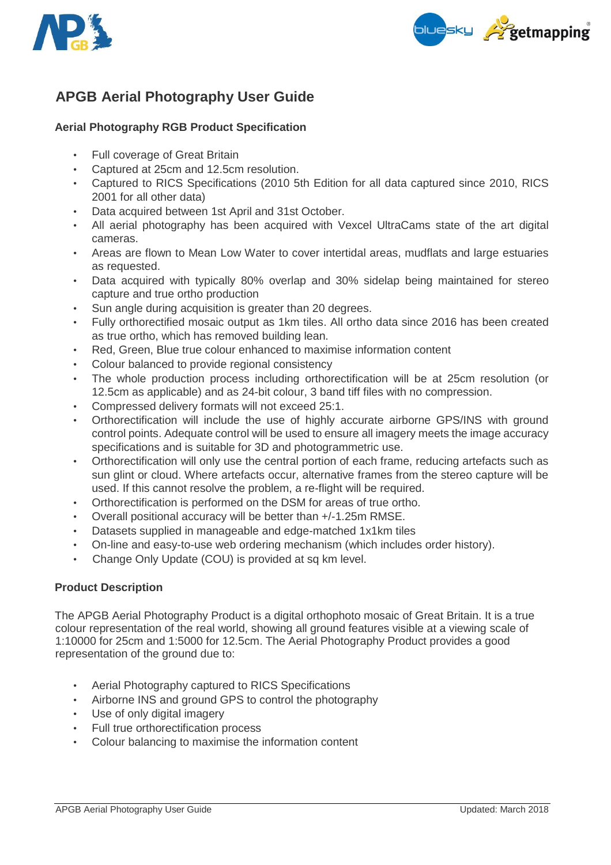



# **APGB Aerial Photography User Guide**

## **Aerial Photography RGB Product Specification**

- Full coverage of Great Britain
- Captured at 25cm and 12.5cm resolution.
- Captured to RICS Specifications (2010 5th Edition for all data captured since 2010, RICS 2001 for all other data)
- Data acquired between 1st April and 31st October.
- All aerial photography has been acquired with Vexcel UltraCams state of the art digital cameras.
- Areas are flown to Mean Low Water to cover intertidal areas, mudflats and large estuaries as requested.
- Data acquired with typically 80% overlap and 30% sidelap being maintained for stereo capture and true ortho production
- Sun angle during acquisition is greater than 20 degrees.
- Fully orthorectified mosaic output as 1km tiles. All ortho data since 2016 has been created as true ortho, which has removed building lean.
- Red, Green, Blue true colour enhanced to maximise information content
- Colour balanced to provide regional consistency
- The whole production process including orthorectification will be at 25cm resolution (or 12.5cm as applicable) and as 24-bit colour, 3 band tiff files with no compression.
- Compressed delivery formats will not exceed 25:1.
- Orthorectification will include the use of highly accurate airborne GPS/INS with ground control points. Adequate control will be used to ensure all imagery meets the image accuracy specifications and is suitable for 3D and photogrammetric use.
- Orthorectification will only use the central portion of each frame, reducing artefacts such as sun glint or cloud. Where artefacts occur, alternative frames from the stereo capture will be used. If this cannot resolve the problem, a re-flight will be required.
- Orthorectification is performed on the DSM for areas of true ortho.
- Overall positional accuracy will be better than +/-1.25m RMSE.
- Datasets supplied in manageable and edge-matched 1x1km tiles
- On-line and easy-to-use web ordering mechanism (which includes order history).
- Change Only Update (COU) is provided at sq km level.

#### **Product Description**

The APGB Aerial Photography Product is a digital orthophoto mosaic of Great Britain. It is a true colour representation of the real world, showing all ground features visible at a viewing scale of 1:10000 for 25cm and 1:5000 for 12.5cm. The Aerial Photography Product provides a good representation of the ground due to:

- Aerial Photography captured to RICS Specifications
- Airborne INS and ground GPS to control the photography
- Use of only digital imagery
- Full true orthorectification process
- Colour balancing to maximise the information content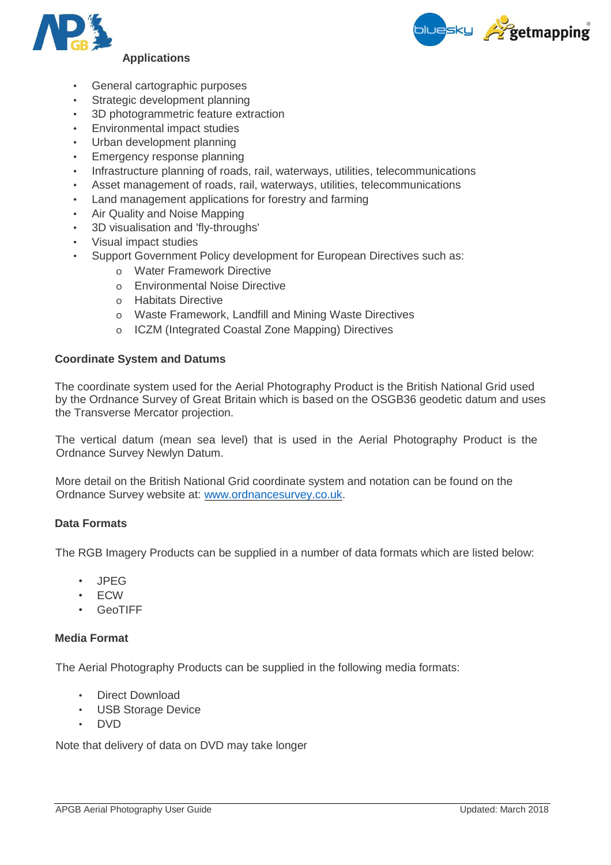



- 
- General cartographic purposes
- Strategic development planning
- 3D photogrammetric feature extraction
- Environmental impact studies
- Urban development planning
- Emergency response planning
- Infrastructure planning of roads, rail, waterways, utilities, telecommunications
- Asset management of roads, rail, waterways, utilities, telecommunications
- Land management applications for forestry and farming
- Air Quality and Noise Mapping
- 3D visualisation and 'fly-throughs'
- Visual impact studies
- Support Government Policy development for European Directives such as:
	- o Water Framework Directive
	- o Environmental Noise Directive
	- o Habitats Directive
	- o Waste Framework, Landfill and Mining Waste Directives
	- o ICZM (Integrated Coastal Zone Mapping) Directives

#### **Coordinate System and Datums**

The coordinate system used for the Aerial Photography Product is the British National Grid used by the Ordnance Survey of Great Britain which is based on the OSGB36 geodetic datum and uses the Transverse Mercator projection.

The vertical datum (mean sea level) that is used in the Aerial Photography Product is the Ordnance Survey Newlyn Datum.

More detail on the British National Grid coordinate system and notation can be found on the Ordnance Survey website at: [www.ordnancesurvey.co.uk.](http://www.ordnancesurvey.co.uk/)

#### **Data Formats**

The RGB Imagery Products can be supplied in a number of data formats which are listed below:

- JPEG
- ECW
- **GeoTIFF**

#### **Media Format**

The Aerial Photography Products can be supplied in the following media formats:

- Direct Download
- USB Storage Device
- DVD

Note that delivery of data on DVD may take longer